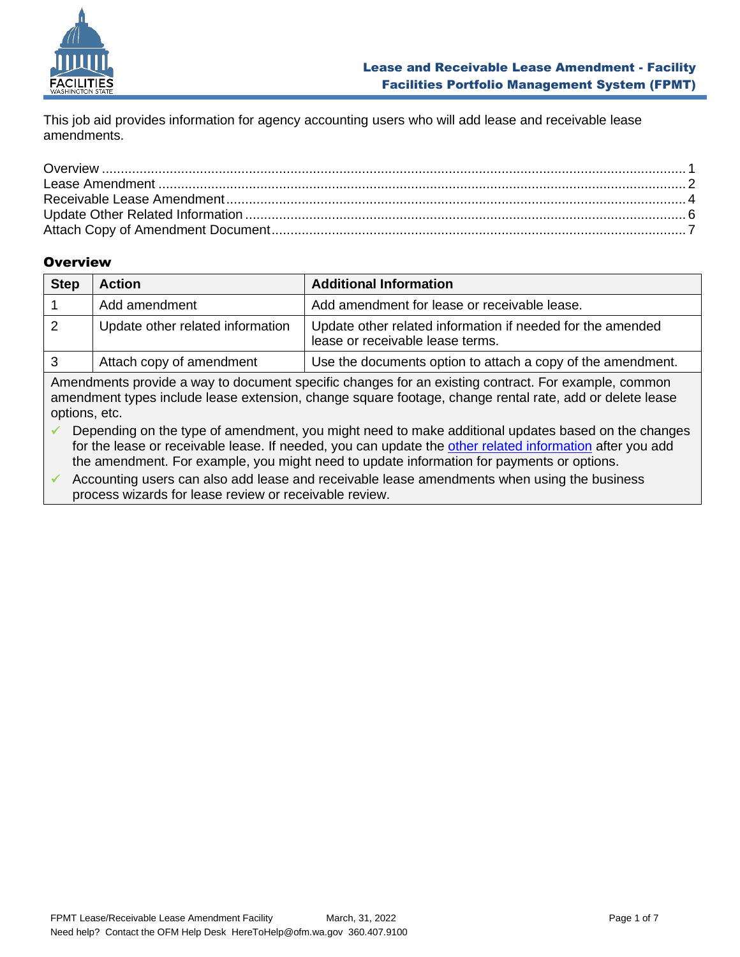

This job aid provides information for agency accounting users who will add lease and receivable lease amendments.

# <span id="page-0-0"></span>**Overview**

| <b>Step</b> | <b>Action</b>                    | <b>Additional Information</b>                                                                  |
|-------------|----------------------------------|------------------------------------------------------------------------------------------------|
|             | Add amendment                    | Add amendment for lease or receivable lease.                                                   |
|             | Update other related information | Update other related information if needed for the amended<br>lease or receivable lease terms. |
| 3           | Attach copy of amendment         | Use the documents option to attach a copy of the amendment.                                    |

Amendments provide a way to document specific changes for an existing contract. For example, common amendment types include lease extension, change square footage, change rental rate, add or delete lease options, etc.

✓ Depending on the type of amendment, you might need to make additional updates based on the changes for the lease or receivable lease. If needed, you can update the [other related information](#page-5-0) after you add the amendment. For example, you might need to update information for payments or options.

 $\checkmark$  Accounting users can also add lease and receivable lease amendments when using the business process wizards for lease review or receivable review.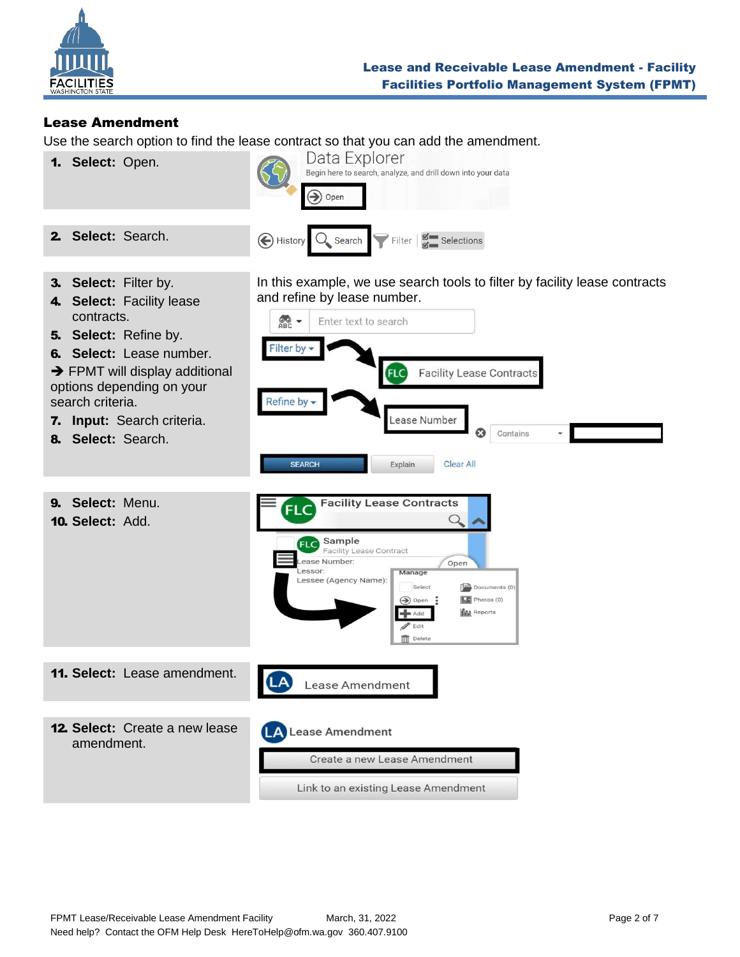

# <span id="page-1-0"></span>Lease Amendment

Use the search option to find the lease contract so that you can add the amendment.

1. **Select:** Open.



3. **Select:** Filter by.

2. **Select:** Search.

- 4. **Select:** Facility lease contracts.
- 5. **Select:** Refine by.
- 6. **Select:** Lease number.

 $\rightarrow$  FPMT will display additional options depending on your search criteria.

- 7. **Input:** Search criteria.
- 8. **Select:** Search.
- 9. **Select:** Menu.

In this example, we use search tools to filter by facility lease contracts and refine by lease number.



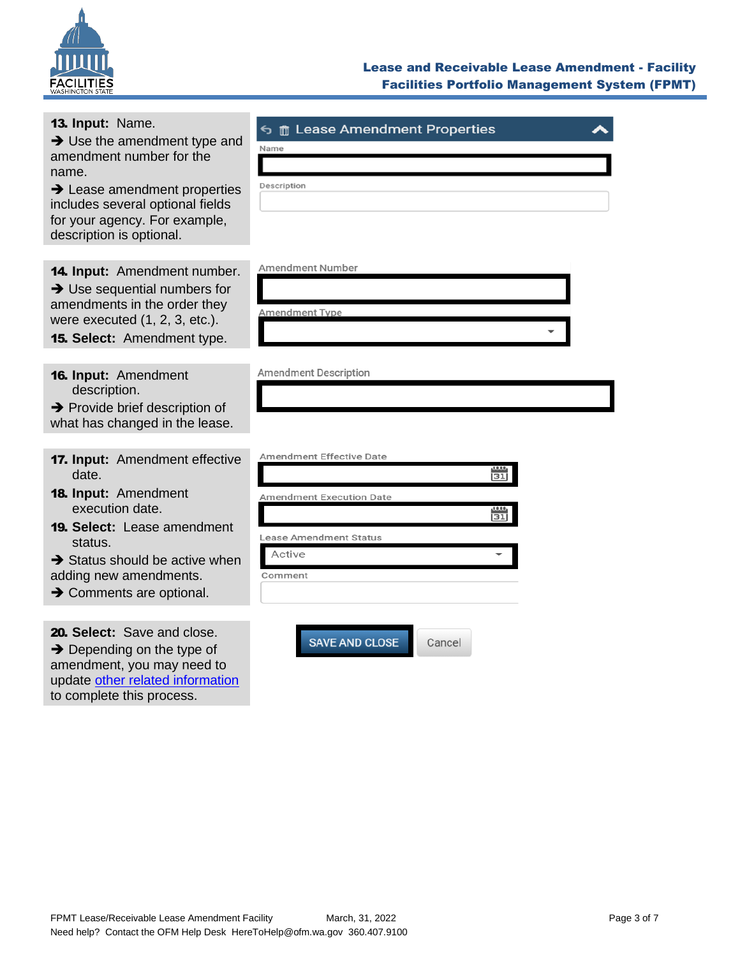

13. **Input:** Name.

#### Lease and Receivable Lease Amendment - Facility Facilities Portfolio Management System (FPMT)

| $\rightarrow$ Use the amendment type and                                                                                                  | 9.<br>$\mathbb{H}$ Lease Affieirative Report Res<br>Name |  |
|-------------------------------------------------------------------------------------------------------------------------------------------|----------------------------------------------------------|--|
| amendment number for the<br>name.                                                                                                         |                                                          |  |
| $\rightarrow$ Lease amendment properties<br>includes several optional fields<br>for your agency. For example,<br>description is optional. | Description                                              |  |
| <b>14. Input:</b> Amendment number.                                                                                                       | <b>Amendment Number</b>                                  |  |
| $\rightarrow$ Use sequential numbers for                                                                                                  |                                                          |  |
| amendments in the order they<br>were executed $(1, 2, 3, etc.).$                                                                          | <b>Amendment Type</b>                                    |  |
| <b>15. Select:</b> Amendment type.                                                                                                        |                                                          |  |
|                                                                                                                                           |                                                          |  |
| <b>16. Input: Amendment</b><br>description.                                                                                               | Amendment Description                                    |  |
| $\rightarrow$ Provide brief description of<br>what has changed in the lease.                                                              |                                                          |  |
|                                                                                                                                           | <b>Amendment Effective Date</b>                          |  |
| 17. Input: Amendment effective<br>date.                                                                                                   | 31                                                       |  |
| <b>18. Input: Amendment</b>                                                                                                               | <b>Amendment Execution Date</b>                          |  |
| execution date.                                                                                                                           | 1,0,0,0<br>$\overline{31}$                               |  |
| <b>19. Select:</b> Lease amendment<br>status.                                                                                             | <b>Lease Amendment Status</b>                            |  |
| $\rightarrow$ Status should be active when                                                                                                | Active                                                   |  |
| adding new amendments.<br>$\rightarrow$ Comments are optional.                                                                            | Comment                                                  |  |
|                                                                                                                                           |                                                          |  |

20. **Select:** Save and close. **→** Depending on the type of amendment, you may need to update [other related information](#page-5-0) to complete this process.

SAVE AND CLOSE

Cancel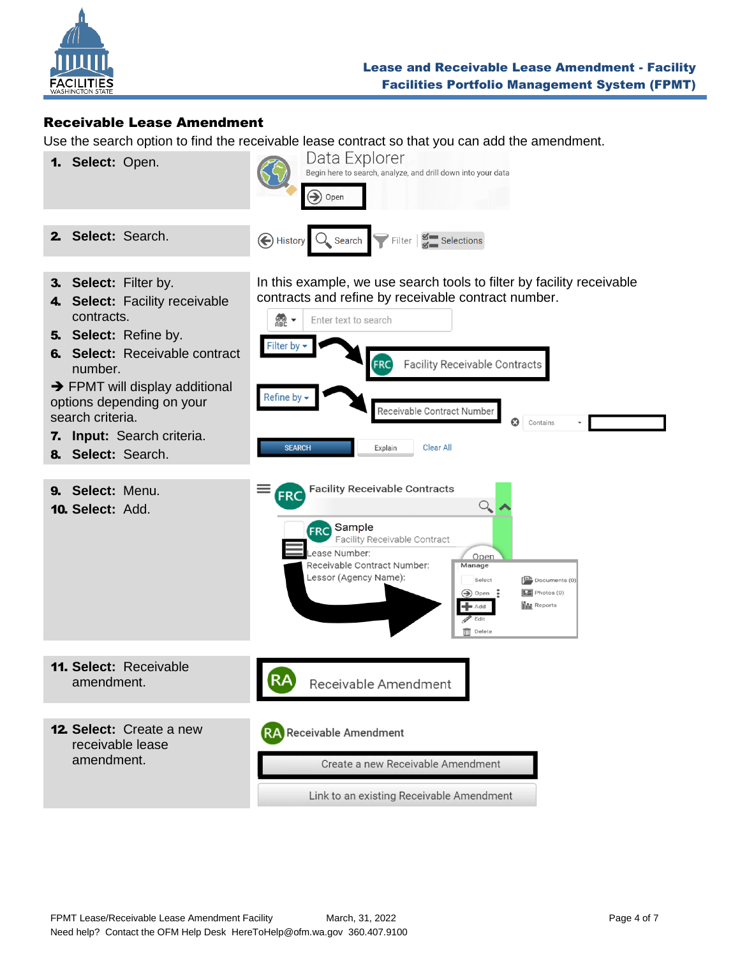

## <span id="page-3-0"></span>Receivable Lease Amendment

Use the search option to find the receivable lease contract so that you can add the amendment.

1. **Select:** Open.



3. **Select:** Filter by.

2. **Select:** Search.

- 4. **Select:** Facility receivable contracts.
- 5. **Select:** Refine by.
- 6. **Select:** Receivable contract number.

 $\rightarrow$  FPMT will display additional options depending on your search criteria.

- 7. **Input:** Search criteria.
- 8. **Select:** Search.
- 9. **Select:** Menu.

In this example, we use search tools to filter by facility receivable contracts and refine by receivable contract number.



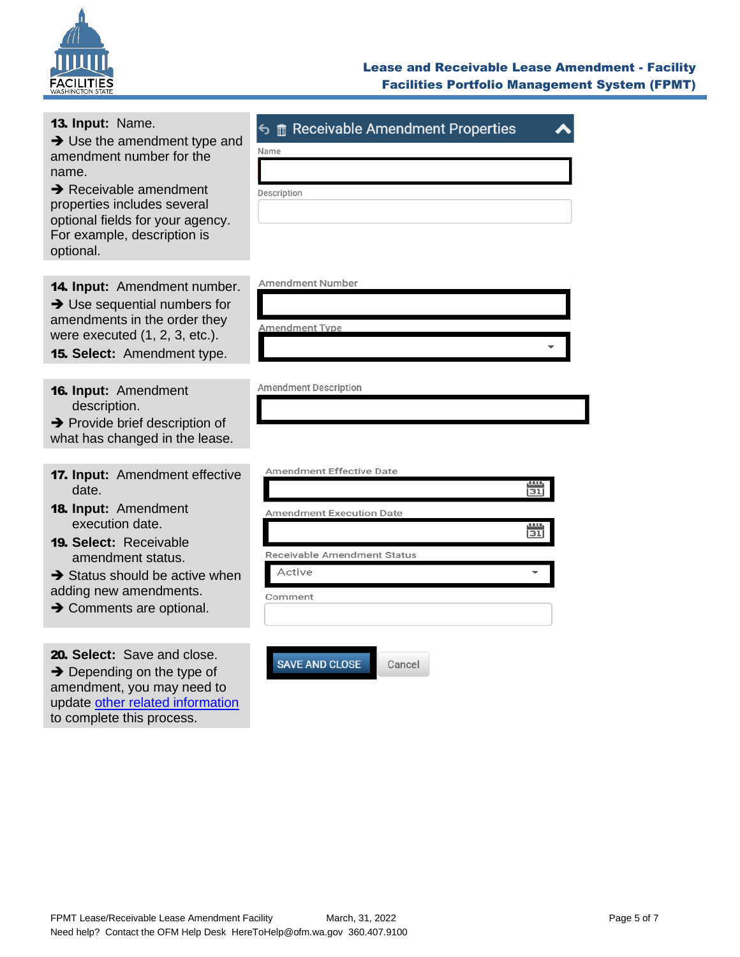

# Lease and Receivable Lease Amendment - Facility Facilities Portfolio Management System (FPMT)

| 13. Input: Name.<br>$\rightarrow$ Use the amendment type and<br>amendment number for the<br>name.<br>$\rightarrow$ Receivable amendment<br>properties includes several<br>optional fields for your agency.<br>For example, description is<br>optional.   | $\epsilon$ m Receivable Amendment Properties<br>Name<br>Description                                                                                               |
|----------------------------------------------------------------------------------------------------------------------------------------------------------------------------------------------------------------------------------------------------------|-------------------------------------------------------------------------------------------------------------------------------------------------------------------|
| 14. Input: Amendment number.<br>$\rightarrow$ Use sequential numbers for<br>amendments in the order they<br>were executed (1, 2, 3, etc.).<br>15. Select: Amendment type.                                                                                | <b>Amendment Number</b><br><b>Amendment Type</b>                                                                                                                  |
| 16. Input: Amendment<br>description.<br>$\rightarrow$ Provide brief description of<br>what has changed in the lease.                                                                                                                                     | <b>Amendment Description</b>                                                                                                                                      |
| 17. Input: Amendment effective<br>date.<br>18. Input: Amendment<br>execution date.<br><b>19. Select: Receivable</b><br>amendment status.<br>$\rightarrow$ Status should be active when<br>adding new amendments.<br>$\rightarrow$ Comments are optional. | <b>Amendment Effective Date</b><br>0.005<br>$\overline{31}$<br><b>Amendment Execution Date</b><br><u>i31l</u><br>Receivable Amendment Status<br>Active<br>Comment |
| 20. Select: Save and close.<br>$\rightarrow$ Depending on the type of<br>amendment, you may need to<br>update other related information<br>to complete this process.                                                                                     | <b>SAVE AND CLOSE</b><br>Cancel                                                                                                                                   |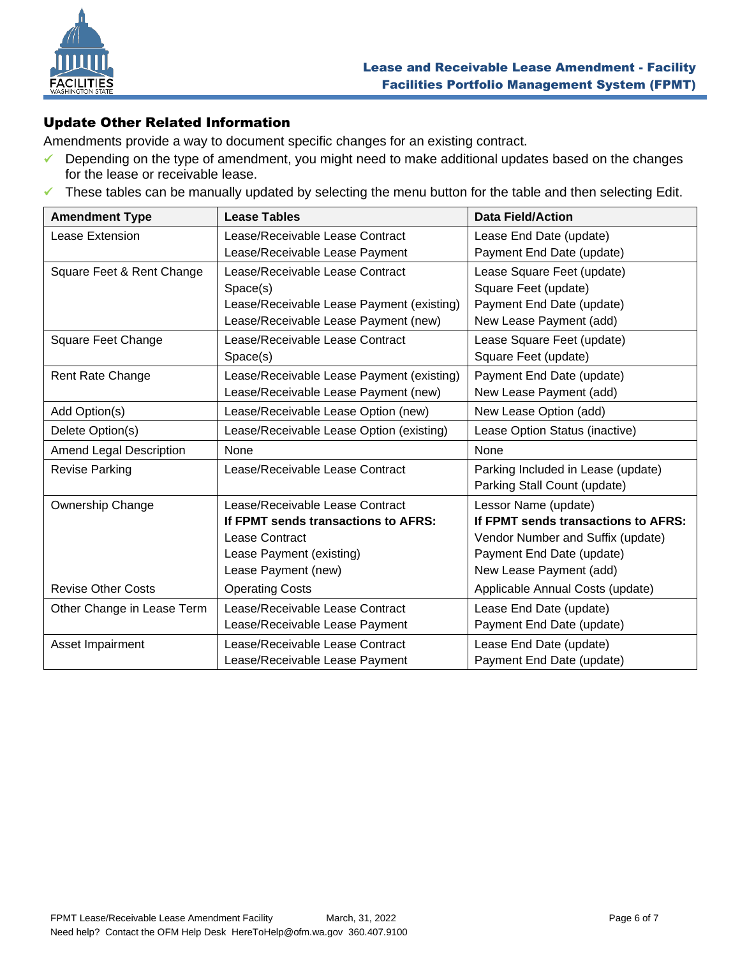

### <span id="page-5-0"></span>Update Other Related Information

Amendments provide a way to document specific changes for an existing contract.

- ✓ Depending on the type of amendment, you might need to make additional updates based on the changes for the lease or receivable lease.
- ✓ These tables can be manually updated by selecting the menu button for the table and then selecting Edit.

| <b>Amendment Type</b>          | <b>Lease Tables</b>                       | <b>Data Field/Action</b>            |
|--------------------------------|-------------------------------------------|-------------------------------------|
| Lease Extension                | Lease/Receivable Lease Contract           | Lease End Date (update)             |
|                                | Lease/Receivable Lease Payment            | Payment End Date (update)           |
| Square Feet & Rent Change      | Lease/Receivable Lease Contract           | Lease Square Feet (update)          |
|                                | Space(s)                                  | Square Feet (update)                |
|                                | Lease/Receivable Lease Payment (existing) | Payment End Date (update)           |
|                                | Lease/Receivable Lease Payment (new)      | New Lease Payment (add)             |
| Square Feet Change             | Lease/Receivable Lease Contract           | Lease Square Feet (update)          |
|                                | Space(s)                                  | Square Feet (update)                |
| Rent Rate Change               | Lease/Receivable Lease Payment (existing) | Payment End Date (update)           |
|                                | Lease/Receivable Lease Payment (new)      | New Lease Payment (add)             |
| Add Option(s)                  | Lease/Receivable Lease Option (new)       | New Lease Option (add)              |
| Delete Option(s)               | Lease/Receivable Lease Option (existing)  | Lease Option Status (inactive)      |
| <b>Amend Legal Description</b> | None                                      | None                                |
| <b>Revise Parking</b>          | Lease/Receivable Lease Contract           | Parking Included in Lease (update)  |
|                                |                                           | Parking Stall Count (update)        |
| <b>Ownership Change</b>        | Lease/Receivable Lease Contract           | Lessor Name (update)                |
|                                | If FPMT sends transactions to AFRS:       | If FPMT sends transactions to AFRS: |
|                                | Lease Contract                            | Vendor Number and Suffix (update)   |
|                                | Lease Payment (existing)                  | Payment End Date (update)           |
|                                | Lease Payment (new)                       | New Lease Payment (add)             |
| <b>Revise Other Costs</b>      | <b>Operating Costs</b>                    | Applicable Annual Costs (update)    |
| Other Change in Lease Term     | Lease/Receivable Lease Contract           | Lease End Date (update)             |
|                                | Lease/Receivable Lease Payment            | Payment End Date (update)           |
| Asset Impairment               | Lease/Receivable Lease Contract           | Lease End Date (update)             |
|                                | Lease/Receivable Lease Payment            | Payment End Date (update)           |